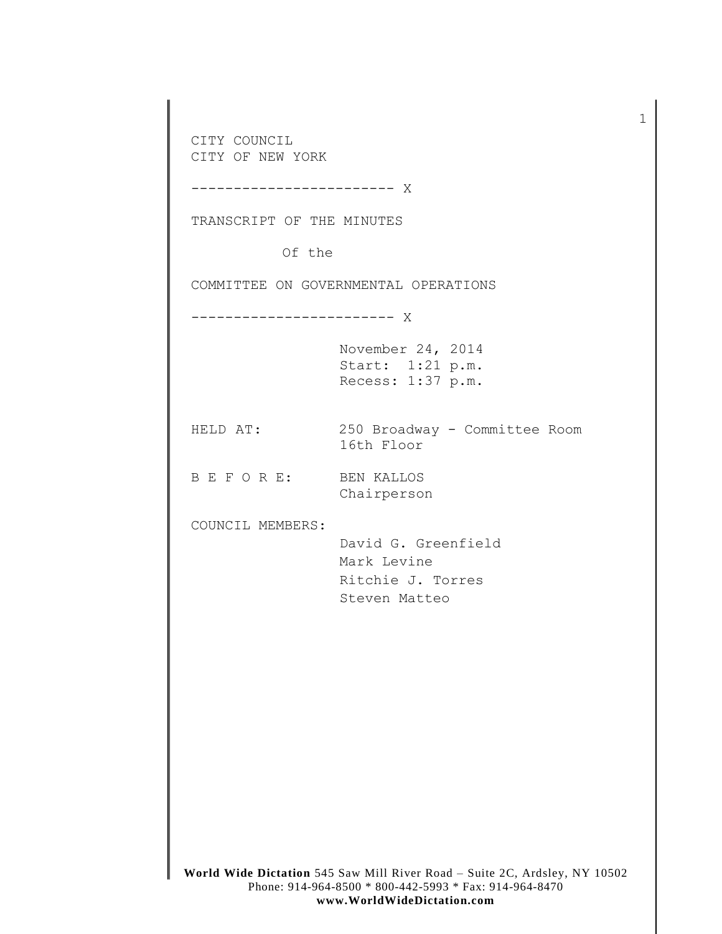**World Wide Dictation** 545 Saw Mill River Road – Suite 2C, Ardsley, NY 10502 CITY COUNCIL CITY OF NEW YORK ------------------------ X TRANSCRIPT OF THE MINUTES Of the COMMITTEE ON GOVERNMENTAL OPERATIONS ------------------------ X November 24, 2014 Start: 1:21 p.m. Recess: 1:37 p.m. HELD AT: 250 Broadway - Committee Room 16th Floor B E F O R E: BEN KALLOS Chairperson COUNCIL MEMBERS: David G. Greenfield Mark Levine Ritchie J. Torres Steven Matteo

1

Phone: 914-964-8500 \* 800-442-5993 \* Fax: 914-964-8470 **www.WorldWideDictation.com**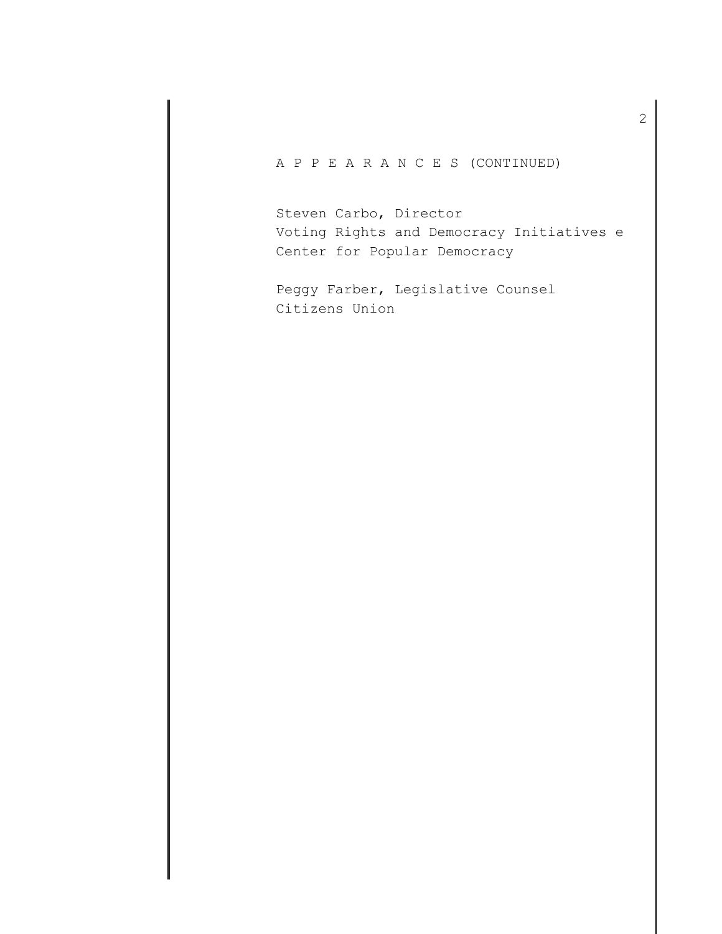A P P E A R A N C E S (CONTINUED)

Steven Carbo, Director Voting Rights and Democracy Initiatives e Center for Popular Democracy

Peggy Farber, Legislative Counsel Citizens Union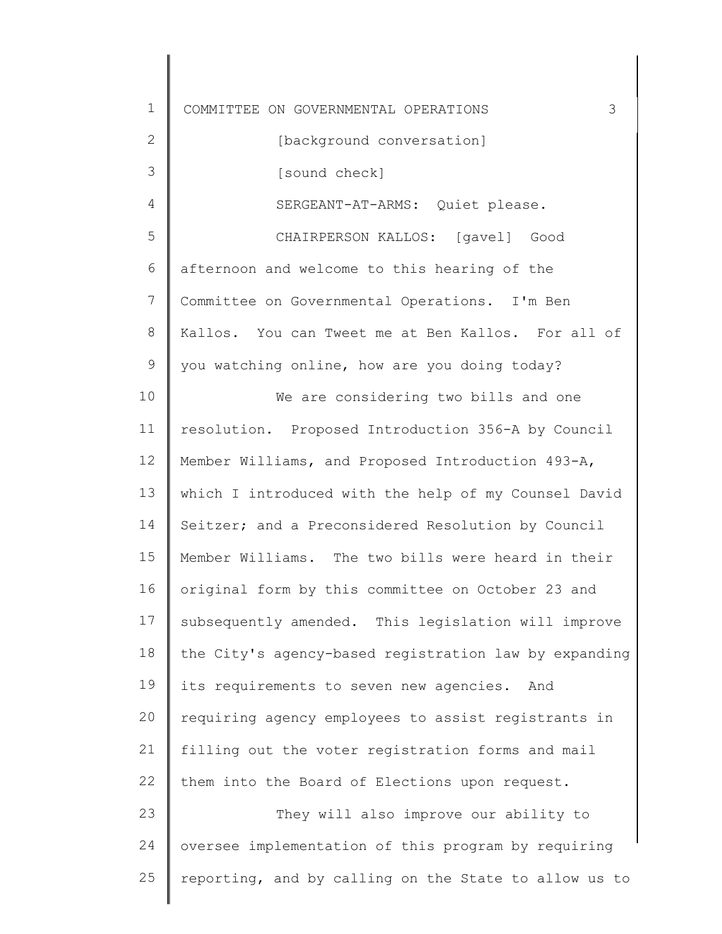| $\mathbf 1$ | 3<br>COMMITTEE ON GOVERNMENTAL OPERATIONS             |
|-------------|-------------------------------------------------------|
| 2           | [background conversation]                             |
| 3           | [sound check]                                         |
| 4           | SERGEANT-AT-ARMS: Quiet please.                       |
| 5           | CHAIRPERSON KALLOS: [gavel] Good                      |
| 6           | afternoon and welcome to this hearing of the          |
| 7           | Committee on Governmental Operations. I'm Ben         |
| 8           | Kallos. You can Tweet me at Ben Kallos. For all of    |
| 9           | you watching online, how are you doing today?         |
| 10          | We are considering two bills and one                  |
| 11          | resolution. Proposed Introduction 356-A by Council    |
| 12          | Member Williams, and Proposed Introduction 493-A,     |
| 13          | which I introduced with the help of my Counsel David  |
| 14          | Seitzer; and a Preconsidered Resolution by Council    |
| 15          | Member Williams. The two bills were heard in their    |
| 16          | original form by this committee on October 23 and     |
| 17          | subsequently amended. This legislation will improve   |
| 18          | the City's agency-based registration law by expanding |
| 19          | its requirements to seven new agencies.<br>And        |
| 20          | requiring agency employees to assist registrants in   |
| 21          | filling out the voter registration forms and mail     |
| 22          | them into the Board of Elections upon request.        |
| 23          | They will also improve our ability to                 |
| 24          | oversee implementation of this program by requiring   |
| 25          | reporting, and by calling on the State to allow us to |
|             |                                                       |

 $\Big\}$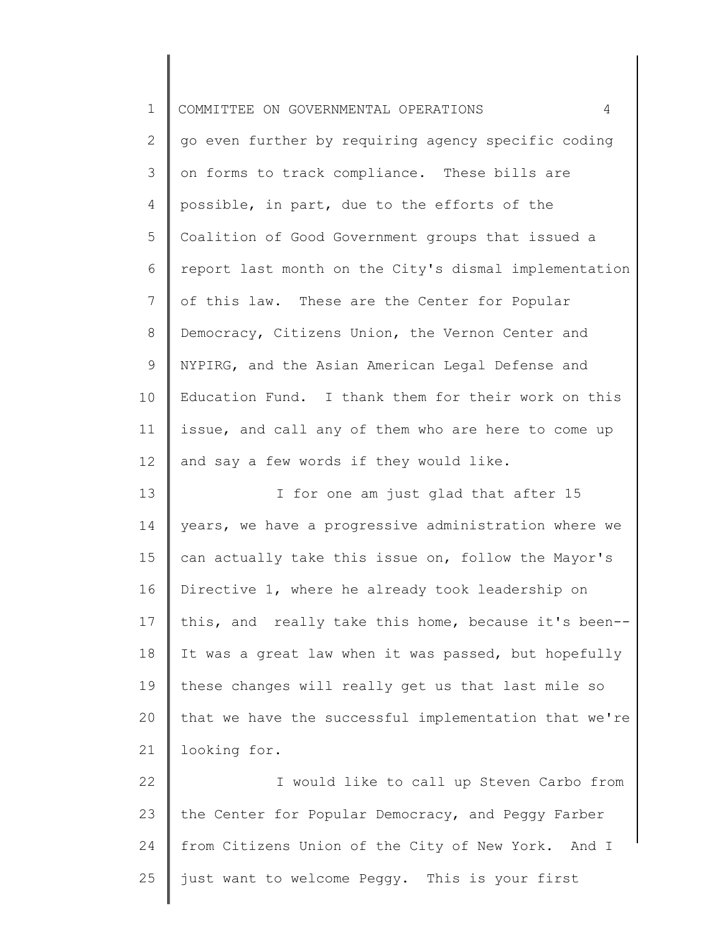| $\mathbf 1$     | $\overline{4}$<br>COMMITTEE ON GOVERNMENTAL OPERATIONS |
|-----------------|--------------------------------------------------------|
| 2               | go even further by requiring agency specific coding    |
| 3               | on forms to track compliance. These bills are          |
| 4               | possible, in part, due to the efforts of the           |
| 5               | Coalition of Good Government groups that issued a      |
| 6               | report last month on the City's dismal implementation  |
| $7\phantom{.0}$ | of this law. These are the Center for Popular          |
| 8               | Democracy, Citizens Union, the Vernon Center and       |
| 9               | NYPIRG, and the Asian American Legal Defense and       |
| 10              | Education Fund. I thank them for their work on this    |
| 11              | issue, and call any of them who are here to come up    |
| 12              | and say a few words if they would like.                |
| 13              | I for one am just glad that after 15                   |
| 14              | years, we have a progressive administration where we   |
| 15              | can actually take this issue on, follow the Mayor's    |
| 16              | Directive 1, where he already took leadership on       |
| 17              | this, and really take this home, because it's been--   |
| 18              | It was a great law when it was passed, but hopefully   |
| 19              | these changes will really get us that last mile so     |
| 20              | that we have the successful implementation that we're  |
| 21              | looking for.                                           |
| 22              | I would like to call up Steven Carbo from              |
| 23              | the Center for Popular Democracy, and Peggy Farber     |
| 24              | from Citizens Union of the City of New York. And I     |
| 25              | just want to welcome Peggy. This is your first         |
|                 |                                                        |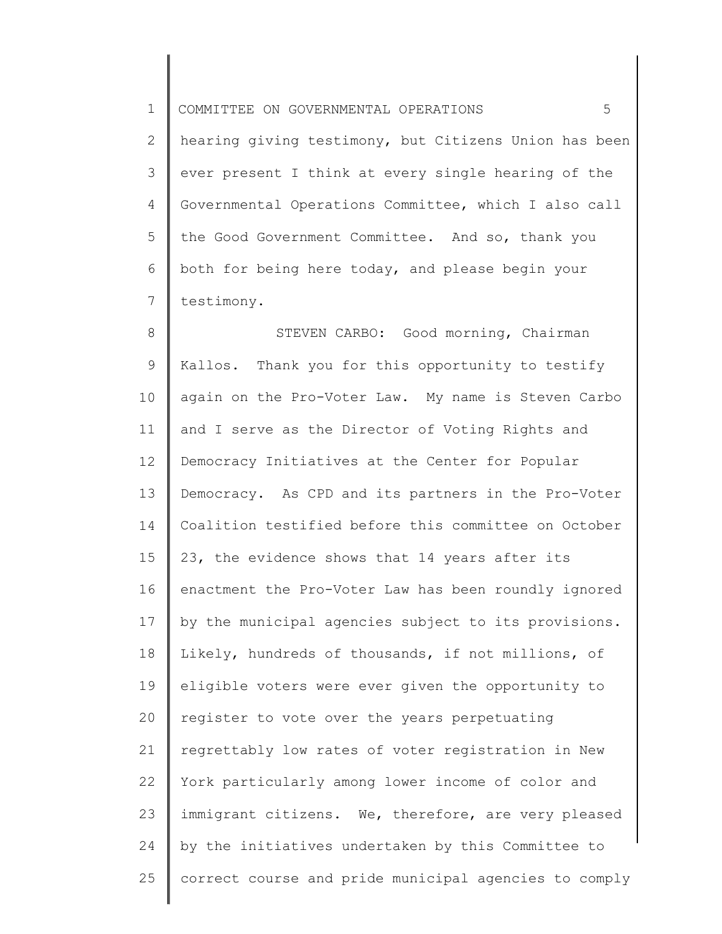1 COMMITTEE ON GOVERNMENTAL OPERATIONS 5

2 3 4 5 6 7 hearing giving testimony, but Citizens Union has been ever present I think at every single hearing of the Governmental Operations Committee, which I also call the Good Government Committee. And so, thank you both for being here today, and please begin your testimony.

8 9 10 11 12 13 14 15 16 17 18 19 20 21 22 23 24 25 STEVEN CARBO: Good morning, Chairman Kallos. Thank you for this opportunity to testify again on the Pro-Voter Law. My name is Steven Carbo and I serve as the Director of Voting Rights and Democracy Initiatives at the Center for Popular Democracy. As CPD and its partners in the Pro-Voter Coalition testified before this committee on October 23, the evidence shows that 14 years after its enactment the Pro-Voter Law has been roundly ignored by the municipal agencies subject to its provisions. Likely, hundreds of thousands, if not millions, of eligible voters were ever given the opportunity to register to vote over the years perpetuating regrettably low rates of voter registration in New York particularly among lower income of color and immigrant citizens. We, therefore, are very pleased by the initiatives undertaken by this Committee to correct course and pride municipal agencies to comply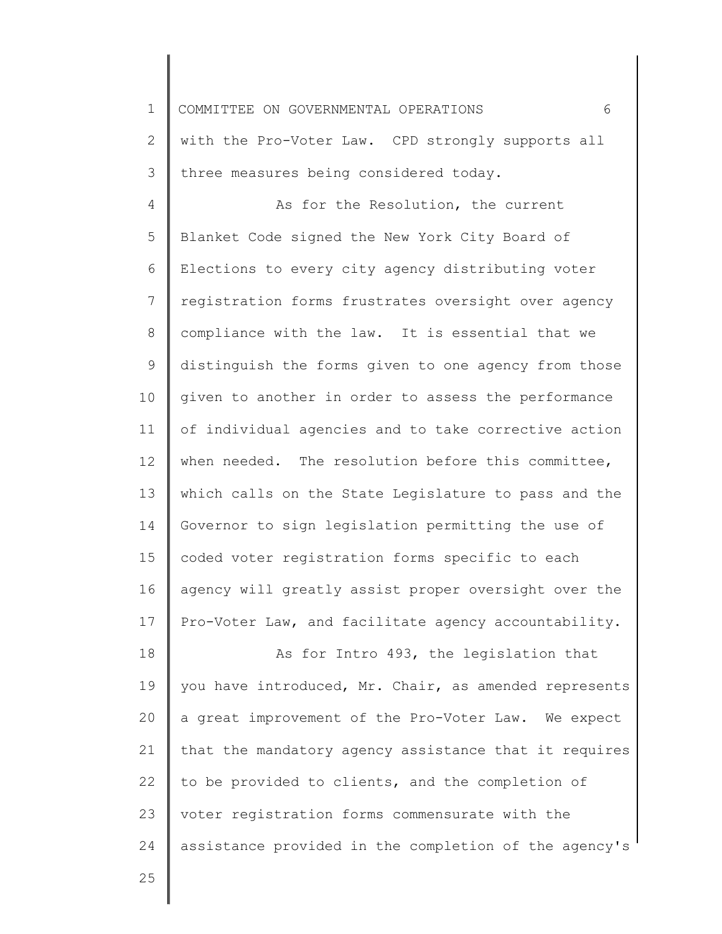1 COMMITTEE ON GOVERNMENTAL OPERATIONS 6

2 3 with the Pro-Voter Law. CPD strongly supports all three measures being considered today.

4 5 6 7 8 9 10 11 12 13 14 15 16 17 As for the Resolution, the current Blanket Code signed the New York City Board of Elections to every city agency distributing voter registration forms frustrates oversight over agency compliance with the law. It is essential that we distinguish the forms given to one agency from those given to another in order to assess the performance of individual agencies and to take corrective action when needed. The resolution before this committee, which calls on the State Legislature to pass and the Governor to sign legislation permitting the use of coded voter registration forms specific to each agency will greatly assist proper oversight over the Pro-Voter Law, and facilitate agency accountability.

18 19 20 21 22 23 24 As for Intro 493, the legislation that you have introduced, Mr. Chair, as amended represents a great improvement of the Pro-Voter Law. We expect that the mandatory agency assistance that it requires to be provided to clients, and the completion of voter registration forms commensurate with the assistance provided in the completion of the agency's

25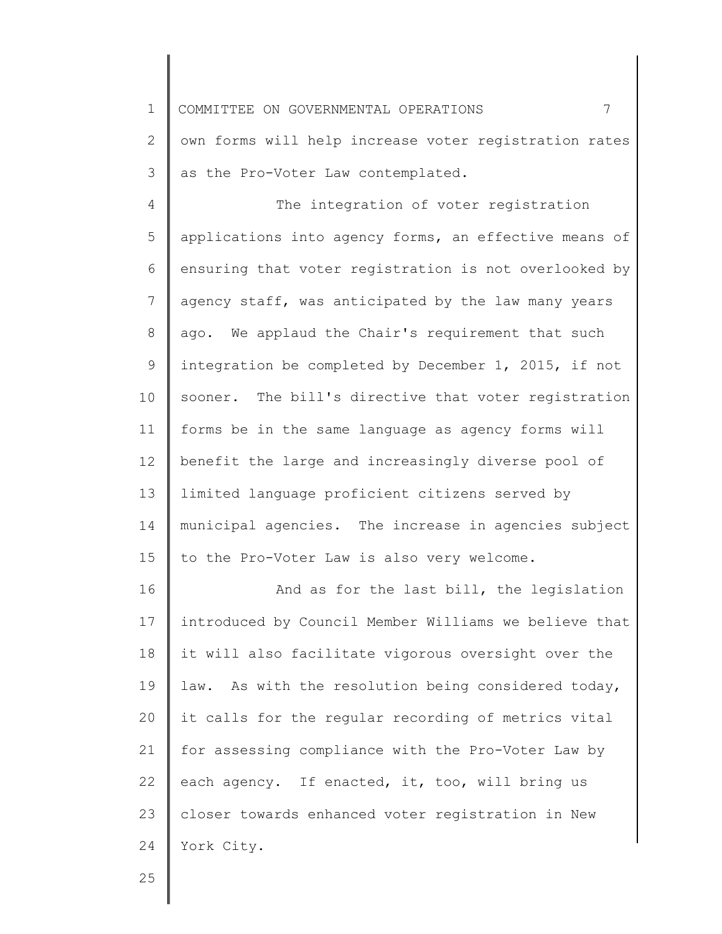1 COMMITTEE ON GOVERNMENTAL OPERATIONS 7

2 3 own forms will help increase voter registration rates as the Pro-Voter Law contemplated.

4 5 6 7 8 9 10 11 12 13 14 15 The integration of voter registration applications into agency forms, an effective means of ensuring that voter registration is not overlooked by agency staff, was anticipated by the law many years ago. We applaud the Chair's requirement that such integration be completed by December 1, 2015, if not sooner. The bill's directive that voter registration forms be in the same language as agency forms will benefit the large and increasingly diverse pool of limited language proficient citizens served by municipal agencies. The increase in agencies subject to the Pro-Voter Law is also very welcome.

16 17 18 19 20 21 22 23 24 And as for the last bill, the legislation introduced by Council Member Williams we believe that it will also facilitate vigorous oversight over the law. As with the resolution being considered today, it calls for the regular recording of metrics vital for assessing compliance with the Pro-Voter Law by each agency. If enacted, it, too, will bring us closer towards enhanced voter registration in New York City.

25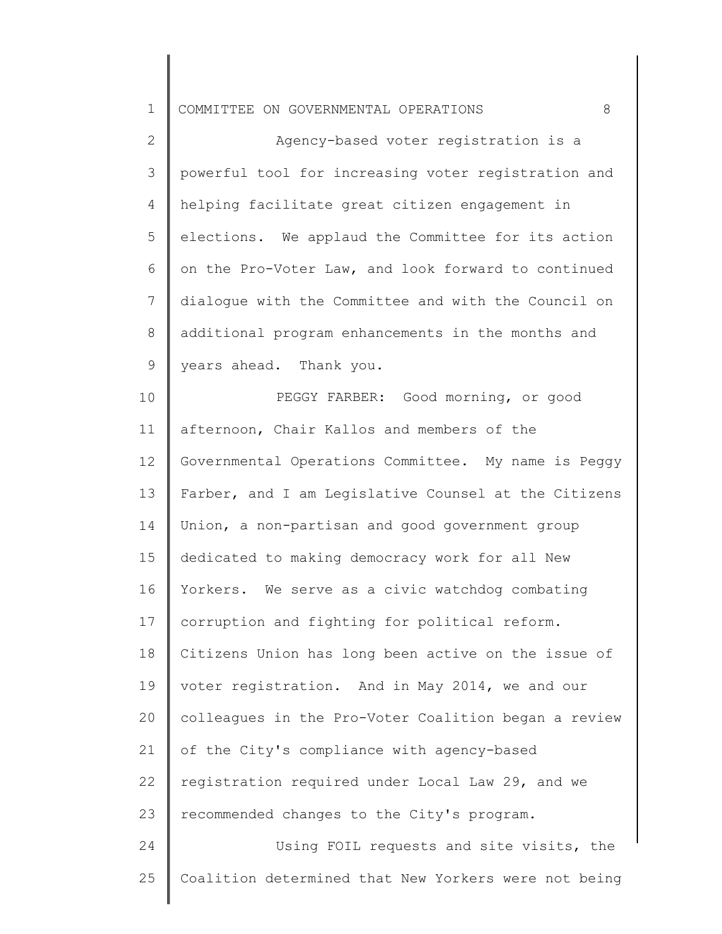|  |  |  | 1 COMMITTEE ON GOVERNMENTAL OPERATIONS |  |  |
|--|--|--|----------------------------------------|--|--|
|--|--|--|----------------------------------------|--|--|

2 3 4 5 6 7 8 9 Agency-based voter registration is a powerful tool for increasing voter registration and helping facilitate great citizen engagement in elections. We applaud the Committee for its action on the Pro-Voter Law, and look forward to continued dialogue with the Committee and with the Council on additional program enhancements in the months and years ahead. Thank you.

10 11 12 13 14 15 16 17 18 19 20 21 22 23 24 25 PEGGY FARBER: Good morning, or good afternoon, Chair Kallos and members of the Governmental Operations Committee. My name is Peggy Farber, and I am Legislative Counsel at the Citizens Union, a non-partisan and good government group dedicated to making democracy work for all New Yorkers. We serve as a civic watchdog combating corruption and fighting for political reform. Citizens Union has long been active on the issue of voter registration. And in May 2014, we and our colleagues in the Pro-Voter Coalition began a review of the City's compliance with agency-based registration required under Local Law 29, and we recommended changes to the City's program. Using FOIL requests and site visits, the Coalition determined that New Yorkers were not being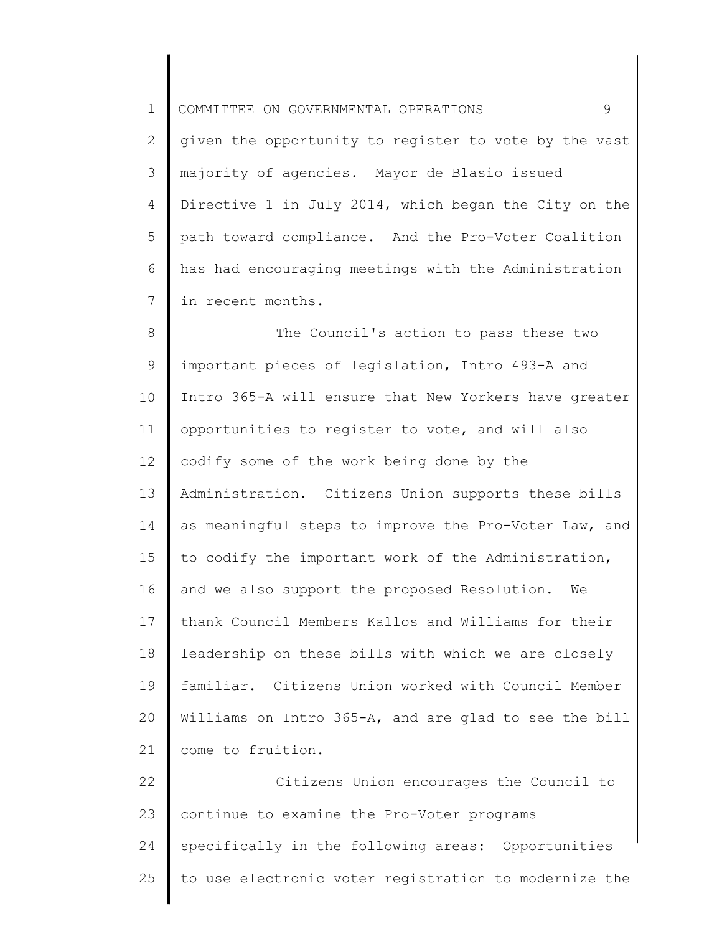1 2 3 4 5 6 7 8 9 10 11 12 13 14 15 16 17 18 19 20 21 22 23 24 25 COMMITTEE ON GOVERNMENTAL OPERATIONS 9 given the opportunity to register to vote by the vast majority of agencies. Mayor de Blasio issued Directive 1 in July 2014, which began the City on the path toward compliance. And the Pro-Voter Coalition has had encouraging meetings with the Administration in recent months. The Council's action to pass these two important pieces of legislation, Intro 493-A and Intro 365-A will ensure that New Yorkers have greater opportunities to register to vote, and will also codify some of the work being done by the Administration. Citizens Union supports these bills as meaningful steps to improve the Pro-Voter Law, and to codify the important work of the Administration, and we also support the proposed Resolution. We thank Council Members Kallos and Williams for their leadership on these bills with which we are closely familiar. Citizens Union worked with Council Member Williams on Intro 365-A, and are glad to see the bill come to fruition. Citizens Union encourages the Council to continue to examine the Pro-Voter programs specifically in the following areas: Opportunities to use electronic voter registration to modernize the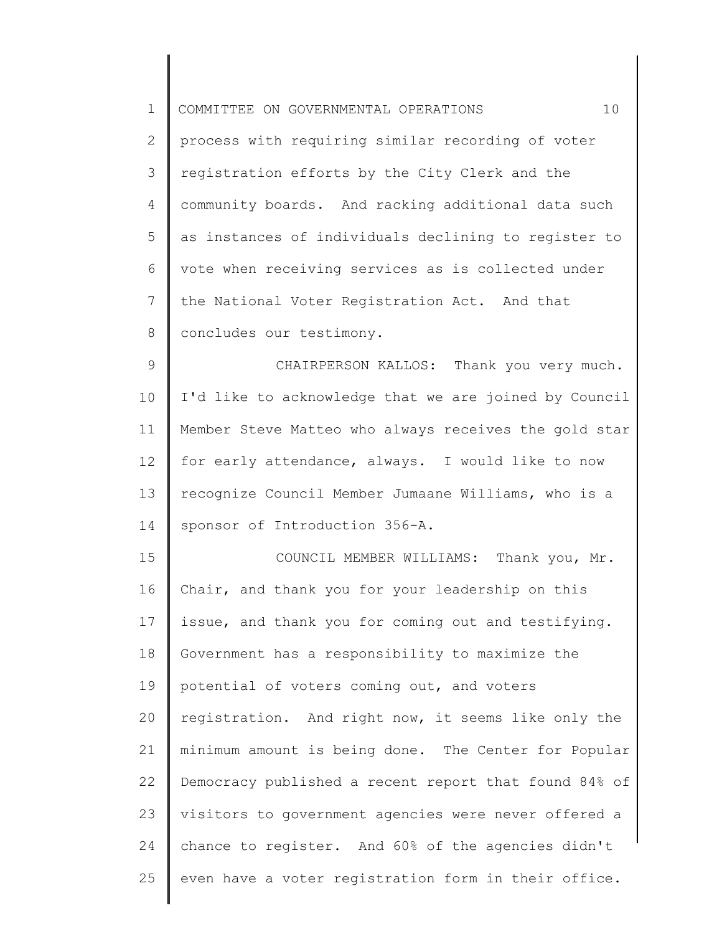| $\mathbf 1$     | 10<br>COMMITTEE ON GOVERNMENTAL OPERATIONS            |
|-----------------|-------------------------------------------------------|
| $\overline{2}$  | process with requiring similar recording of voter     |
| 3               | registration efforts by the City Clerk and the        |
| 4               | community boards. And racking additional data such    |
| 5               | as instances of individuals declining to register to  |
| 6               | vote when receiving services as is collected under    |
| $7\phantom{.0}$ | the National Voter Registration Act. And that         |
| 8               | concludes our testimony.                              |
| $\mathsf 9$     | CHAIRPERSON KALLOS: Thank you very much.              |
| 10              | I'd like to acknowledge that we are joined by Council |
| 11              | Member Steve Matteo who always receives the gold star |
| 12              | for early attendance, always. I would like to now     |
| 13              | recognize Council Member Jumaane Williams, who is a   |
| 14              | sponsor of Introduction 356-A.                        |
| 15              | COUNCIL MEMBER WILLIAMS: Thank you, Mr.               |
| 16              | Chair, and thank you for your leadership on this      |
| 17              | issue, and thank you for coming out and testifying.   |
| 18              | Government has a responsibility to maximize the       |
| 19              | potential of voters coming out, and voters            |
| 20              | registration. And right now, it seems like only the   |
| 21              | minimum amount is being done. The Center for Popular  |
| 22              | Democracy published a recent report that found 84% of |
| 23              | visitors to government agencies were never offered a  |
| 24              | chance to register. And 60% of the agencies didn't    |
| 25              | even have a voter registration form in their office.  |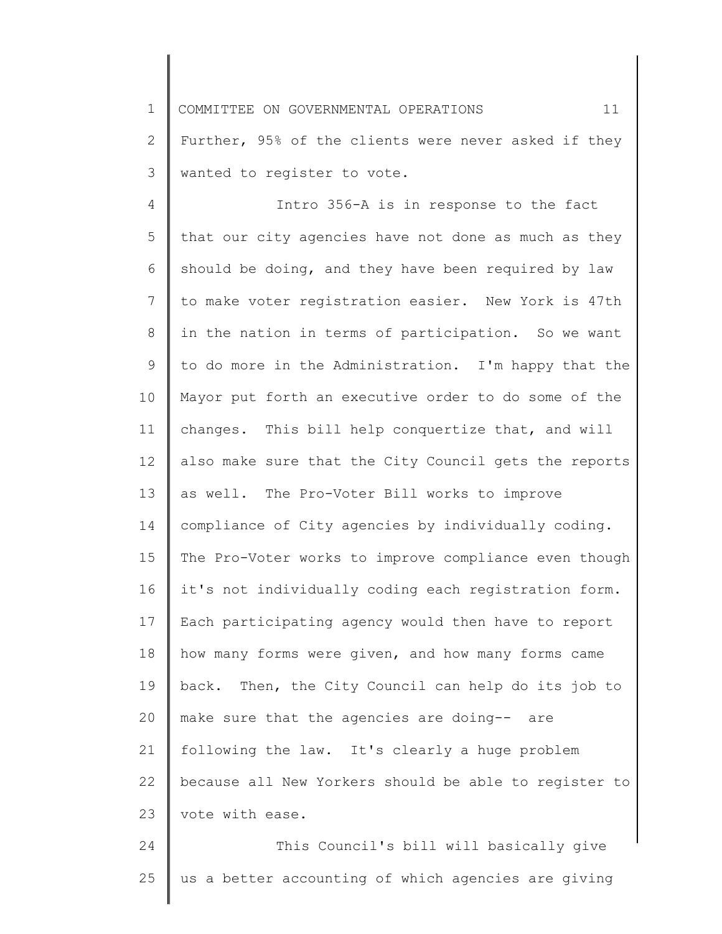1 2 3 COMMITTEE ON GOVERNMENTAL OPERATIONS 11 Further, 95% of the clients were never asked if they wanted to register to vote.

4 5 6 7 8 9 10 11 12 13 14 15 16 17 18 19 20 21 22 23 Intro 356-A is in response to the fact that our city agencies have not done as much as they should be doing, and they have been required by law to make voter registration easier. New York is 47th in the nation in terms of participation. So we want to do more in the Administration. I'm happy that the Mayor put forth an executive order to do some of the changes. This bill help conquertize that, and will also make sure that the City Council gets the reports as well. The Pro-Voter Bill works to improve compliance of City agencies by individually coding. The Pro-Voter works to improve compliance even though it's not individually coding each registration form. Each participating agency would then have to report how many forms were given, and how many forms came back. Then, the City Council can help do its job to make sure that the agencies are doing-- are following the law. It's clearly a huge problem because all New Yorkers should be able to register to vote with ease.

24 25 This Council's bill will basically give us a better accounting of which agencies are giving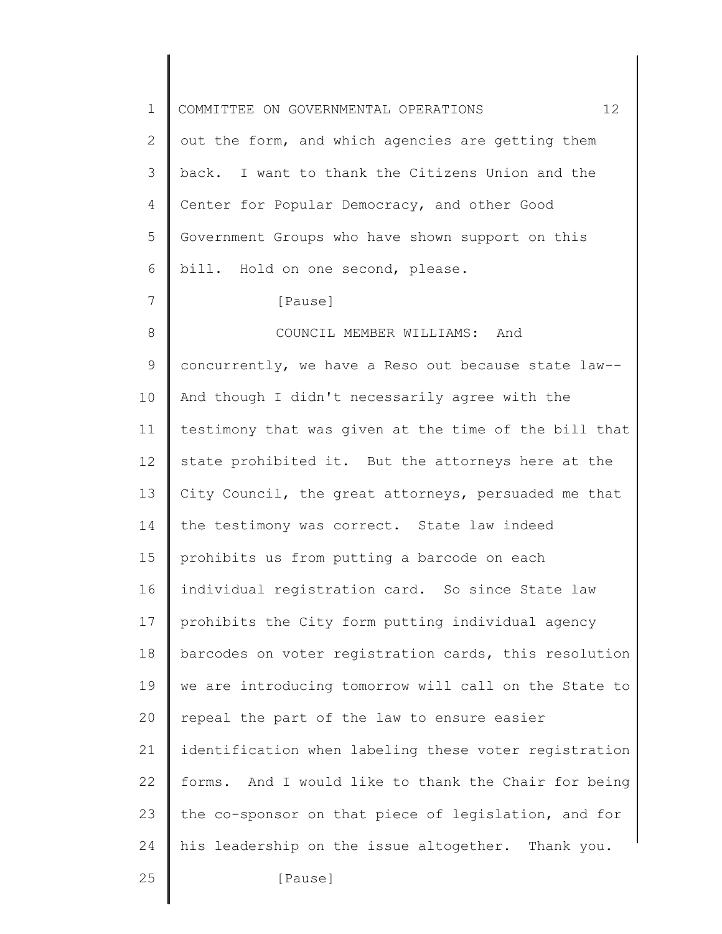| $\mathbf 1$ | 12<br>COMMITTEE ON GOVERNMENTAL OPERATIONS            |
|-------------|-------------------------------------------------------|
| 2           | out the form, and which agencies are getting them     |
| 3           | back. I want to thank the Citizens Union and the      |
| 4           | Center for Popular Democracy, and other Good          |
| 5           | Government Groups who have shown support on this      |
| 6           | bill. Hold on one second, please.                     |
| 7           | [Pause]                                               |
| 8           | COUNCIL MEMBER WILLIAMS: And                          |
| 9           | concurrently, we have a Reso out because state law--  |
| 10          | And though I didn't necessarily agree with the        |
| 11          | testimony that was given at the time of the bill that |
| 12          | state prohibited it. But the attorneys here at the    |
| 13          | City Council, the great attorneys, persuaded me that  |
| 14          | the testimony was correct. State law indeed           |
| 15          | prohibits us from putting a barcode on each           |
| 16          | individual registration card. So since State law      |
| 17          | prohibits the City form putting individual agency     |
| 18          | barcodes on voter registration cards, this resolution |
| 19          | we are introducing tomorrow will call on the State to |
| 20          | repeal the part of the law to ensure easier           |
| 21          | identification when labeling these voter registration |
| 22          | forms. And I would like to thank the Chair for being  |
| 23          | the co-sponsor on that piece of legislation, and for  |
| 24          | his leadership on the issue altogether. Thank you.    |
| 25          | [Pause]                                               |
|             |                                                       |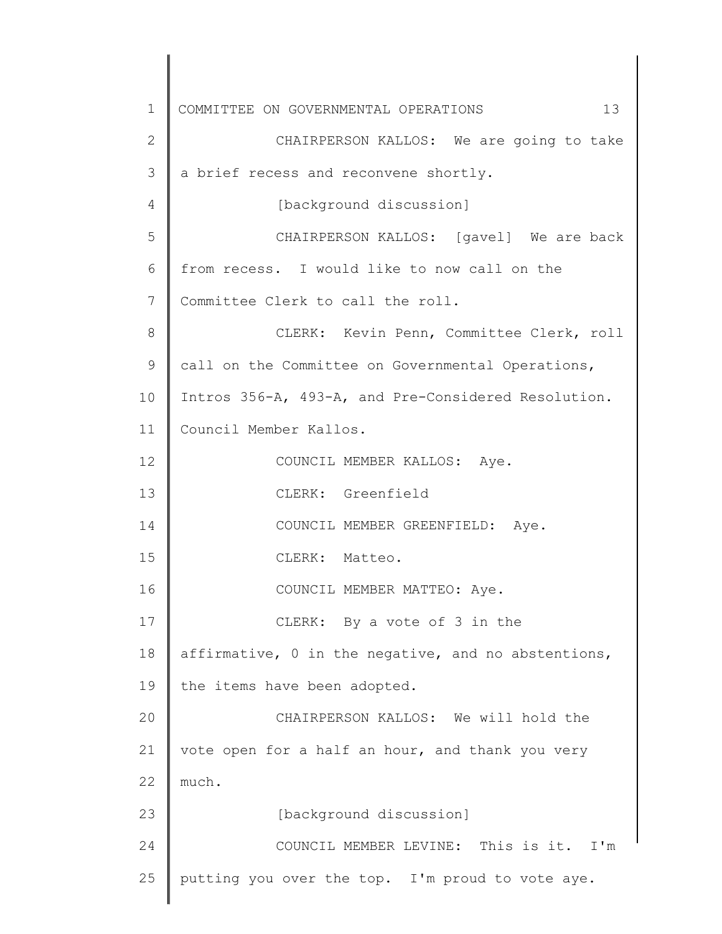1 2 3 4 5 6 7 8 9 10 11 12 13 14 15 16 17 18 19 20 21 22 23 24 25 COMMITTEE ON GOVERNMENTAL OPERATIONS 13 CHAIRPERSON KALLOS: We are going to take a brief recess and reconvene shortly. [background discussion] CHAIRPERSON KALLOS: [gavel] We are back from recess. I would like to now call on the Committee Clerk to call the roll. CLERK: Kevin Penn, Committee Clerk, roll call on the Committee on Governmental Operations, Intros 356-A, 493-A, and Pre-Considered Resolution. Council Member Kallos. COUNCIL MEMBER KALLOS: Aye. CLERK: Greenfield COUNCIL MEMBER GREENFIELD: Aye. CLERK: Matteo. COUNCIL MEMBER MATTEO: Aye. CLERK: By a vote of 3 in the affirmative, 0 in the negative, and no abstentions, the items have been adopted. CHAIRPERSON KALLOS: We will hold the vote open for a half an hour, and thank you very much. [background discussion] COUNCIL MEMBER LEVINE: This is it. I'm putting you over the top. I'm proud to vote aye.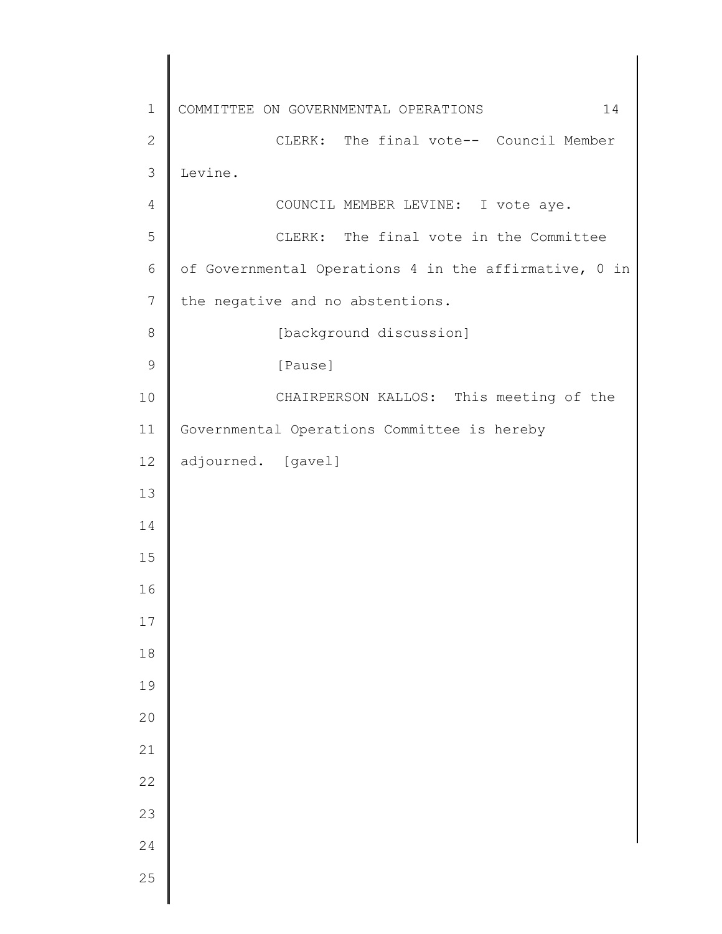COMMITTEE ON GOVERNMENTAL OPERATIONS 14 CLERK: The final vote-- Council Member Levine. COUNCIL MEMBER LEVINE: I vote aye. CLERK: The final vote in the Committee of Governmental Operations 4 in the affirmative, 0 in the negative and no abstentions. [background discussion] [Pause] CHAIRPERSON KALLOS: This meeting of the Governmental Operations Committee is hereby adjourned. [gavel]